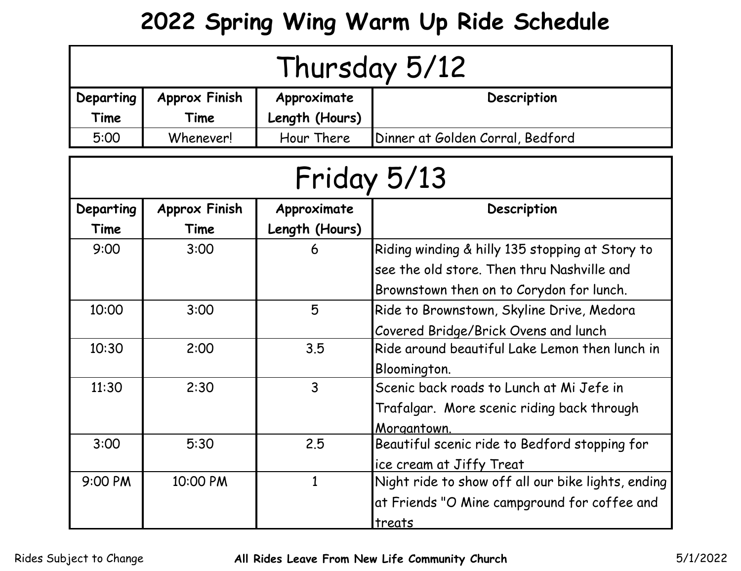## **2022 Spring Wing Warm Up Ride Schedule**

| Thursday 5/12 |                      |                |                                                    |  |
|---------------|----------------------|----------------|----------------------------------------------------|--|
| Departing     | <b>Approx Finish</b> | Approximate    | Description                                        |  |
| Time          | Time                 | Length (Hours) |                                                    |  |
| 5:00          | Whenever!            | Hour There     | Dinner at Golden Corral, Bedford                   |  |
| Friday 5/13   |                      |                |                                                    |  |
| Departing     | <b>Approx Finish</b> | Approximate    | Description                                        |  |
| Time          | Time                 | Length (Hours) |                                                    |  |
| 9:00          | 3:00                 | 6              | Riding winding & hilly 135 stopping at Story to    |  |
|               |                      |                | see the old store. Then thru Nashville and         |  |
|               |                      |                | Brownstown then on to Corydon for lunch.           |  |
| 10:00         | 3:00                 | 5              | Ride to Brownstown, Skyline Drive, Medora          |  |
|               |                      |                | Covered Bridge/Brick Ovens and lunch               |  |
| 10:30         | 2:00                 | 3.5            | Ride around beautiful Lake Lemon then lunch in     |  |
|               |                      |                | Bloomington.                                       |  |
| 11:30         | 2:30                 | $\overline{3}$ | Scenic back roads to Lunch at Mi Jefe in           |  |
|               |                      |                | Trafalgar. More scenic riding back through         |  |
|               |                      |                | Morgantown.                                        |  |
| 3:00          | 5:30                 | 2.5            | Beautiful scenic ride to Bedford stopping for      |  |
|               |                      |                | ice cream at Jiffy Treat                           |  |
| 9:00 PM       | 10:00 PM             | $\mathbf{1}$   | Night ride to show off all our bike lights, ending |  |
|               |                      |                | at Friends "O Mine campground for coffee and       |  |
|               |                      |                | treats                                             |  |